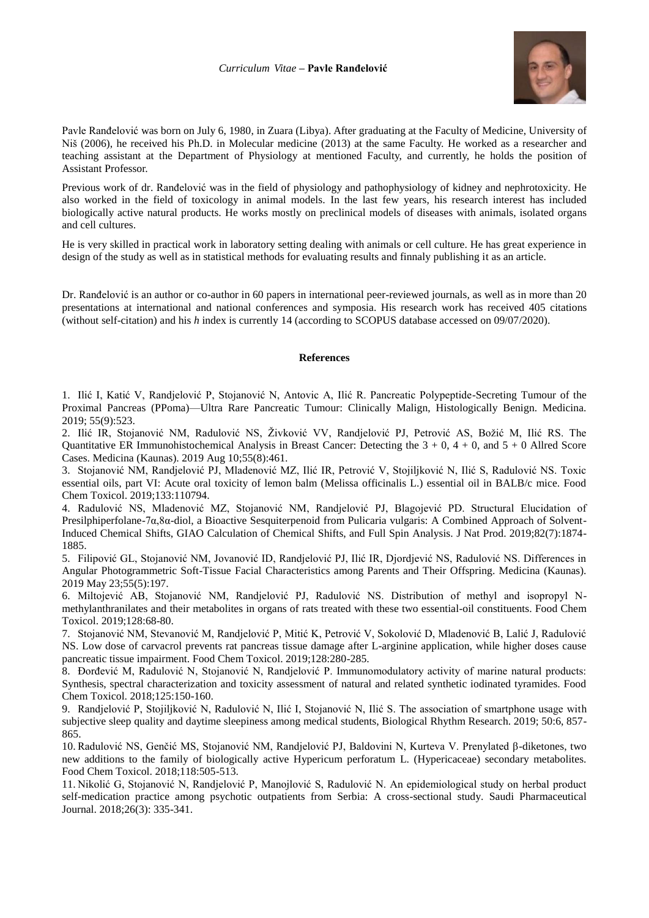## *Curriculum Vitae* **– Pavle Ranđelović**



Pavle Ranđelović was born on July 6, 1980, in Zuara (Libya). After graduating at the Faculty of Medicine, University of Niš (2006), he received his Ph.D. in Molecular medicine (2013) at the same Faculty. He worked as a researcher and teaching assistant at the Department of Physiology at mentioned Faculty, and currently, he holds the position of Assistant Professor.

Previous work of dr. Ranđelović was in the field of physiology and pathophysiology of kidney and nephrotoxicity. He also worked in the field of toxicology in animal models. In the last few years, his research interest has included biologically active natural products. He works mostly on preclinical models of diseases with animals, isolated organs and cell cultures.

He is very skilled in practical work in laboratory setting dealing with animals or cell culture. He has great experience in design of the study as well as in statistical methods for evaluating results and finnaly publishing it as an article.

Dr. Ranđelović is an author or co-author in 60 papers in international peer-reviewed journals, as well as in more than 20 presentations at international and national conferences and symposia. His research work has received 405 citations (without self-citation) and his *h* index is currently 14 (according to SCOPUS database accessed on 09/07/2020).

## **References**

1. Ilić I, Katić V, Randjelović P, Stojanović N, Antovic A, Ilić R. Pancreatic Polypeptide-Secreting Tumour of the Proximal Pancreas (PPoma)—Ultra Rare Pancreatic Tumour: Clinically Malign, Histologically Benign. Medicina. 2019; 55(9):523.

2. Ilić IR, Stojanović NM, Radulović NS, Živković VV, Randjelović PJ, Petrović AS, Božić M, Ilić RS. The Quantitative ER Immunohistochemical Analysis in Breast Cancer: Detecting the  $3 + 0$ ,  $4 + 0$ , and  $5 + 0$  Allred Score Cases. Medicina (Kaunas). 2019 Aug 10;55(8):461.

3. Stojanović NM, Randjelović PJ, Mladenović MZ, Ilić IR, Petrović V, Stojiljković N, Ilić S, Radulović NS. Toxic essential oils, part VI: Acute oral toxicity of lemon balm (Melissa officinalis L.) essential oil in BALB/c mice. Food Chem Toxicol. 2019;133:110794.

4. Radulović NS, Mladenović MZ, Stojanović NM, Randjelović PJ, Blagojević PD. Structural Elucidation of Presilphiperfolane-7α,8α-diol, a Bioactive Sesquiterpenoid from Pulicaria vulgaris: A Combined Approach of Solvent-Induced Chemical Shifts, GIAO Calculation of Chemical Shifts, and Full Spin Analysis. J Nat Prod. 2019;82(7):1874- 1885.

5. Filipović GL, Stojanović NM, Jovanović ID, Randjelović PJ, Ilić IR, Djordjević NS, Radulović NS. Differences in Angular Photogrammetric Soft-Tissue Facial Characteristics among Parents and Their Offspring. Medicina (Kaunas). 2019 May 23;55(5):197.

6. Miltojević AB, Stojanović NM, Randjelović PJ, Radulović NS. Distribution of methyl and isopropyl Nmethylanthranilates and their metabolites in organs of rats treated with these two essential-oil constituents. Food Chem Toxicol. 2019;128:68-80.

7. Stojanović NM, Stevanović M, Randjelović P, Mitić K, Petrović V, Sokolović D, Mladenović B, Lalić J, Radulović NS. Low dose of carvacrol prevents rat pancreas tissue damage after L-arginine application, while higher doses cause pancreatic tissue impairment. Food Chem Toxicol. 2019;128:280-285.

8. Đorđević M, Radulović N, Stojanović N, Randjelović P. Immunomodulatory activity of marine natural products: Synthesis, spectral characterization and toxicity assessment of natural and related synthetic iodinated tyramides. Food Chem Toxicol. 2018;125:150-160.

9. Randjelović P, Stojiljković N, Radulović N, Ilić I, Stojanović N, Ilić S. The association of smartphone usage with subjective sleep quality and daytime sleepiness among medical students, Biological Rhythm Research. 2019; 50:6, 857- 865.

10. Radulović NS, Genčić MS, Stojanović NM, Randjelović PJ, Baldovini N, Kurteva V. Prenylated β-diketones, two new additions to the family of biologically active Hypericum perforatum L. (Hypericaceae) secondary metabolites. Food Chem Toxicol. 2018;118:505-513.

11. Nikolić G, Stojanović N, Randjelović P, Manojlović S, Radulović N. An epidemiological study on herbal product self-medication practice among psychotic outpatients from Serbia: A cross-sectional study. Saudi Pharmaceutical Journal. 2018;26(3): 335-341.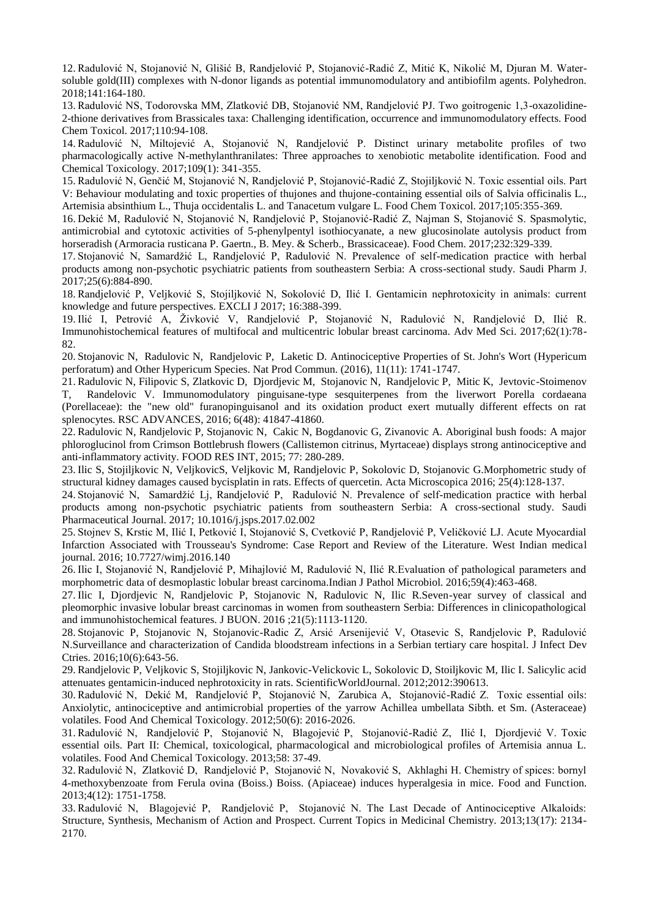12. Radulović N, Stojanović N, Glišić B, Randjelović P, Stojanović-Radić Z, Mitić K, Nikolić M, Djuran M. Watersoluble gold(III) complexes with N-donor ligands as potential immunomodulatory and antibiofilm agents. Polyhedron. 2018;141:164-180.

13. Radulović NS, Todorovska MM, Zlatković DB, Stojanović NM, Randjelović PJ. Two goitrogenic 1,3-oxazolidine-2-thione derivatives from Brassicales taxa: Challenging identification, occurrence and immunomodulatory effects. Food Chem Toxicol. 2017;110:94-108.

14. Radulović N, Miltojević A, Stojanović N, Randjelović P. Distinct urinary metabolite profiles of two pharmacologically active N-methylanthranilates: Three approaches to xenobiotic metabolite identification. Food and Chemical Toxicology. 2017;109(1): 341-355.

15. Radulović N, Genčić M, Stojanović N, Randjelović P, Stojanović-Radić Z, Stojiljković N. Toxic essential oils. Part V: Behaviour modulating and toxic properties of thujones and thujone-containing essential oils of Salvia officinalis L., Artemisia absinthium L., Thuja occidentalis L. and Tanacetum vulgare L. Food Chem Toxicol. 2017;105:355-369.

16. Dekić M, Radulović N, Stojanović N, Randjelović P, Stojanović-Radić Z, Najman S, Stojanović S. Spasmolytic, antimicrobial and cytotoxic activities of 5-phenylpentyl isothiocyanate, a new glucosinolate autolysis product from horseradish (Armoracia rusticana P. Gaertn., B. Mey. & Scherb., Brassicaceae). Food Chem. 2017;232:329-339.

17. Stojanović N, Samardžić L, Randjelović P, Radulović N. Prevalence of self-medication practice with herbal products among non-psychotic psychiatric patients from southeastern Serbia: A cross-sectional study. Saudi Pharm J. 2017;25(6):884-890.

18. Randjelović P, Veljković S, Stojiljković N, Sokolović D, Ilić I. Gentamicin nephrotoxicity in animals: current knowledge and future perspectives. EXCLI J 2017; 16:388-399.

19. Ilić I, Petrović A, Živković V, Randjelović P, Stojanović N, Radulović N, Randjelović D, Ilić R. Immunohistochemical features of multifocal and multicentric lobular breast carcinoma. Adv Med Sci. 2017;62(1):78- 82.

20. Stojanovic N, Radulovic N, Randjelovic P, Laketic D. Antinociceptive Properties of St. John's Wort (Hypericum perforatum) and Other Hypericum Species. Nat Prod Commun. (2016), 11(11): 1741-1747.

21. Radulovic N, Filipovic S, Zlatkovic D, Djordjevic M, Stojanovic N, Randjelovic P, Mitic K, Jevtovic-Stoimenov T, Randelovic V. Immunomodulatory pinguisane-type sesquiterpenes from the liverwort Porella cordaeana (Porellaceae): the "new old" furanopinguisanol and its oxidation product exert mutually different effects on rat splenocytes. RSC ADVANCES, 2016; 6(48): 41847-41860.

22. Radulovic N, Randjelovic P, Stojanovic N, Cakic N, Bogdanovic G, Zivanovic A. Aboriginal bush foods: A major phloroglucinol from Crimson Bottlebrush flowers (Callistemon citrinus, Myrtaceae) displays strong antinociceptive and anti-inflammatory activity. FOOD RES INT, 2015; 77: 280-289.

23. Ilic S, Stojiljkovic N, VeljkovicS, Veljkovic M, Randjelovic P, Sokolovic D, Stojanovic G.Morphometric study of structural kidney damages caused bycisplatin in rats. Effects of quercetin. Acta Microscopica 2016; 25(4):128-137.

24. Stojanović N, Samardžić Lj, Randjelović P, Radulović N. Prevalence of self-medication practice with herbal products among non-psychotic psychiatric patients from southeastern Serbia: A cross-sectional study. Saudi Pharmaceutical Journal. 2017; 10.1016/j.jsps.2017.02.002

25. Stojnev S, Krstic M, Ilić I, Petković I, Stojanović S, Cvetković P, Randjelović P, Veličković LJ. Acute Myocardial Infarction Associated with Trousseau's Syndrome: Case Report and Review of the Literature. West Indian medical journal. 2016; 10.7727/wimj.2016.140

26. Ilic I, Stojanović N, Randjelović P, Mihajlović M, Radulović N, Ilić R.Evaluation of pathological parameters and morphometric data of desmoplastic lobular breast carcinoma.Indian J Pathol Microbiol. 2016;59(4):463-468.

27. Ilic I, Djordjevic N, Randjelovic P, Stojanovic N, Radulovic N, Ilic R.Seven-year survey of classical and pleomorphic invasive lobular breast carcinomas in women from southeastern Serbia: Differences in clinicopathological and immunohistochemical features. J BUON. 2016 ;21(5):1113-1120.

28. Stojanovic P, Stojanovic N, Stojanovic-Radic Z, Arsić Arsenijević V, Otasevic S, Randjelovic P, Radulović N.Surveillance and characterization of Candida bloodstream infections in a Serbian tertiary care hospital. J Infect Dev Ctries. 2016;10(6):643-56.

29. Randjelovic P, Veljkovic S, Stojiljkovic N, Jankovic-Velickovic L, Sokolovic D, Stoiljkovic M, Ilic I. Salicylic acid attenuates gentamicin-induced nephrotoxicity in rats. ScientificWorldJournal. 2012;2012:390613.

30. Radulović N, Dekić M, Randjelović P, Stojanović N, Zarubica A, Stojanović-Radić Z. Toxic essential oils: Anxiolytic, antinociceptive and antimicrobial properties of the yarrow Achillea umbellata Sibth. et Sm. (Asteraceae) volatiles. Food And Chemical Toxicology. 2012;50(6): 2016-2026.

31. Radulović N, Randjelović P, Stojanović N, Blagojević P, Stojanović-Radić Z, Ilić I, Djordjević V. Toxic essential oils. Part II: Chemical, toxicological, pharmacological and microbiological profiles of Artemisia annua L. volatiles. Food And Chemical Toxicology. 2013;58: 37-49.

32. Radulović N, Zlatković D, Randjelović P, Stojanović N, Novaković S, Akhlaghi H. Chemistry of spices: bornyl 4-methoxybenzoate from Ferula ovina (Boiss.) Boiss. (Apiaceae) induces hyperalgesia in mice. Food and Function. 2013;4(12): 1751-1758.

33. Radulović N, Blagojević P, Randjelović P, Stojanović N. The Last Decade of Antinociceptive Alkaloids: Structure, Synthesis, Mechanism of Action and Prospect. Current Topics in Medicinal Chemistry. 2013;13(17): 2134- 2170.